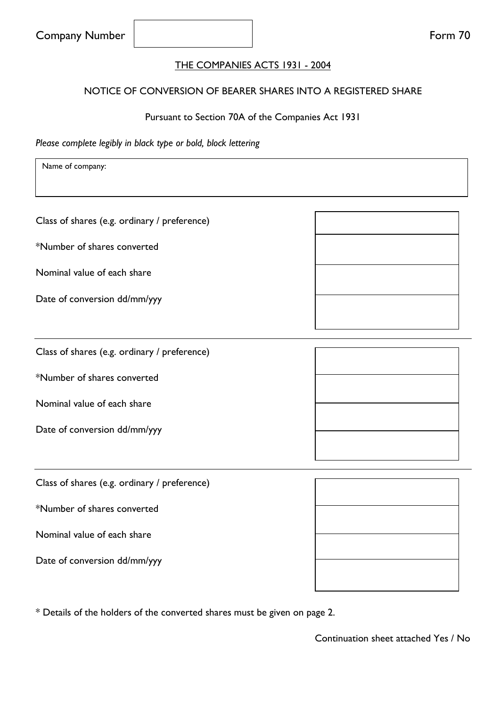#### THE COMPANIES ACTS 1931 - 2004

### NOTICE OF CONVERSION OF BEARER SHARES INTO A REGISTERED SHARE

#### Pursuant to Section 70A of the Companies Act 1931

*Please complete legibly in black type or bold, block lettering*

Name of company:

Class of shares (e.g. ordinary / preference)

\*Number of shares converted

Nominal value of each share

Date of conversion dd/mm/yyy

Class of shares (e.g. ordinary / preference)

\*Number of shares converted

Nominal value of each share

Date of conversion dd/mm/yyy

Class of shares (e.g. ordinary / preference)

\*Number of shares converted

Nominal value of each share

Date of conversion dd/mm/yyy

\* Details of the holders of the converted shares must be given on page 2.

Continuation sheet attached Yes / No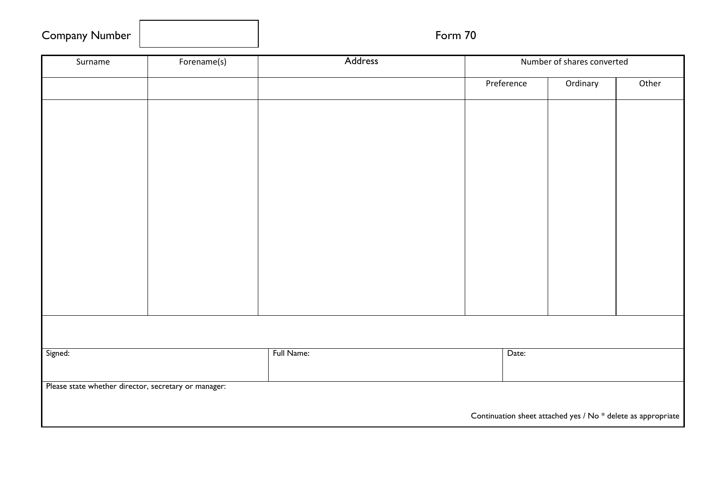| <b>Company Number</b> |
|-----------------------|
|-----------------------|

# Form 70

| Surname                                              | Forename(s)                                                  | Address    |  | Number of shares converted |          |       |
|------------------------------------------------------|--------------------------------------------------------------|------------|--|----------------------------|----------|-------|
|                                                      |                                                              |            |  | Preference                 | Ordinary | Other |
|                                                      |                                                              |            |  |                            |          |       |
|                                                      |                                                              |            |  |                            |          |       |
|                                                      |                                                              |            |  |                            |          |       |
|                                                      |                                                              |            |  |                            |          |       |
|                                                      |                                                              |            |  |                            |          |       |
|                                                      |                                                              |            |  |                            |          |       |
|                                                      |                                                              |            |  |                            |          |       |
|                                                      |                                                              |            |  |                            |          |       |
|                                                      |                                                              |            |  |                            |          |       |
|                                                      |                                                              |            |  |                            |          |       |
|                                                      |                                                              |            |  |                            |          |       |
|                                                      |                                                              |            |  |                            |          |       |
|                                                      |                                                              |            |  |                            |          |       |
| Signed:                                              |                                                              | Full Name: |  | Date:                      |          |       |
|                                                      |                                                              |            |  |                            |          |       |
| Please state whether director, secretary or manager: |                                                              |            |  |                            |          |       |
|                                                      | Continuation sheet attached yes / No * delete as appropriate |            |  |                            |          |       |